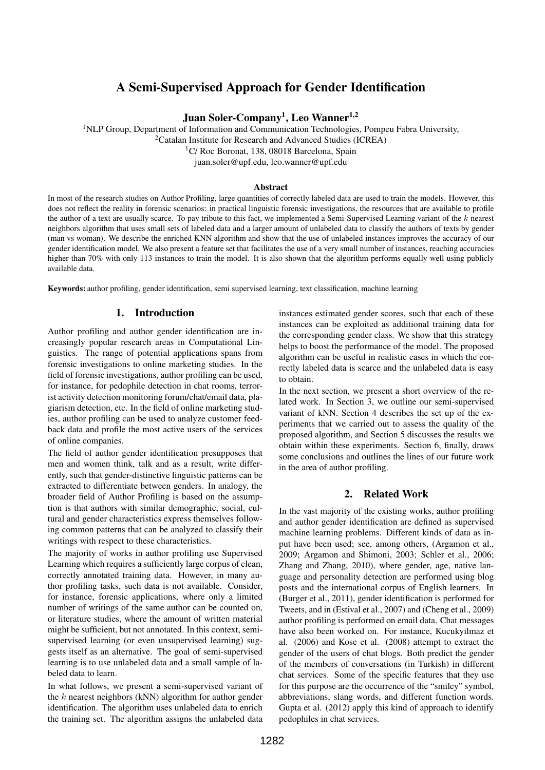# A Semi-Supervised Approach for Gender Identification

# Juan Soler-Company<sup>1</sup>, Leo Wanner<sup>1,2</sup>

<sup>1</sup>NLP Group, Department of Information and Communication Technologies, Pompeu Fabra University,

<sup>2</sup>Catalan Institute for Research and Advanced Studies (ICREA)

<sup>1</sup>C/ Roc Boronat, 138, 08018 Barcelona, Spain

juan.soler@upf.edu, leo.wanner@upf.edu

#### Abstract

In most of the research studies on Author Profiling, large quantities of correctly labeled data are used to train the models. However, this does not reflect the reality in forensic scenarios: in practical linguistic forensic investigations, the resources that are available to profile the author of a text are usually scarce. To pay tribute to this fact, we implemented a Semi-Supervised Learning variant of the k nearest neighbors algorithm that uses small sets of labeled data and a larger amount of unlabeled data to classify the authors of texts by gender (man vs woman). We describe the enriched KNN algorithm and show that the use of unlabeled instances improves the accuracy of our gender identification model. We also present a feature set that facilitates the use of a very small number of instances, reaching accuracies higher than 70% with only 113 instances to train the model. It is also shown that the algorithm performs equally well using publicly available data.

Keywords: author profiling, gender identification, semi supervised learning, text classification, machine learning

### 1. Introduction

Author profiling and author gender identification are increasingly popular research areas in Computational Linguistics. The range of potential applications spans from forensic investigations to online marketing studies. In the field of forensic investigations, author profiling can be used, for instance, for pedophile detection in chat rooms, terrorist activity detection monitoring forum/chat/email data, plagiarism detection, etc. In the field of online marketing studies, author profiling can be used to analyze customer feedback data and profile the most active users of the services of online companies.

The field of author gender identification presupposes that men and women think, talk and as a result, write differently, such that gender-distinctive linguistic patterns can be extracted to differentiate between genders. In analogy, the broader field of Author Profiling is based on the assumption is that authors with similar demographic, social, cultural and gender characteristics express themselves following common patterns that can be analyzed to classify their writings with respect to these characteristics.

The majority of works in author profiling use Supervised Learning which requires a sufficiently large corpus of clean, correctly annotated training data. However, in many author profiling tasks, such data is not available. Consider, for instance, forensic applications, where only a limited number of writings of the same author can be counted on, or literature studies, where the amount of written material might be sufficient, but not annotated. In this context, semisupervised learning (or even unsupervised learning) suggests itself as an alternative. The goal of semi-supervised learning is to use unlabeled data and a small sample of labeled data to learn.

In what follows, we present a semi-supervised variant of the  $k$  nearest neighbors (kNN) algorithm for author gender identification. The algorithm uses unlabeled data to enrich the training set. The algorithm assigns the unlabeled data instances estimated gender scores, such that each of these instances can be exploited as additional training data for the corresponding gender class. We show that this strategy helps to boost the performance of the model. The proposed algorithm can be useful in realistic cases in which the correctly labeled data is scarce and the unlabeled data is easy to obtain.

In the next section, we present a short overview of the related work. In Section 3, we outline our semi-supervised variant of kNN. Section 4 describes the set up of the experiments that we carried out to assess the quality of the proposed algorithm, and Section 5 discusses the results we obtain within these experiments. Section 6, finally, draws some conclusions and outlines the lines of our future work in the area of author profiling.

### 2. Related Work

In the vast majority of the existing works, author profiling and author gender identification are defined as supervised machine learning problems. Different kinds of data as input have been used; see, among others, (Argamon et al., 2009; Argamon and Shimoni, 2003; Schler et al., 2006; Zhang and Zhang, 2010), where gender, age, native language and personality detection are performed using blog posts and the international corpus of English learners. In (Burger et al., 2011), gender identification is performed for Tweets, and in (Estival et al., 2007) and (Cheng et al., 2009) author profiling is performed on email data. Chat messages have also been worked on. For instance, Kucukyilmaz et al. (2006) and Kose et al. (2008) attempt to extract the gender of the users of chat blogs. Both predict the gender of the members of conversations (in Turkish) in different chat services. Some of the specific features that they use for this purpose are the occurrence of the "smiley" symbol, abbreviations, slang words, and different function words. Gupta et al. (2012) apply this kind of approach to identify pedophiles in chat services.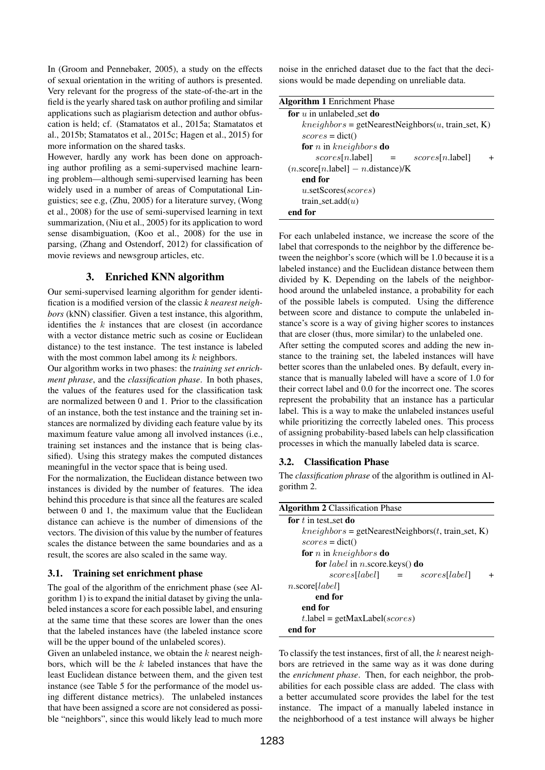In (Groom and Pennebaker, 2005), a study on the effects of sexual orientation in the writing of authors is presented. Very relevant for the progress of the state-of-the-art in the field is the yearly shared task on author profiling and similar applications such as plagiarism detection and author obfuscation is held; cf. (Stamatatos et al., 2015a; Stamatatos et al., 2015b; Stamatatos et al., 2015c; Hagen et al., 2015) for more information on the shared tasks.

However, hardly any work has been done on approaching author profiling as a semi-supervised machine learning problem—although semi-supervised learning has been widely used in a number of areas of Computational Linguistics; see e.g, (Zhu, 2005) for a literature survey, (Wong et al., 2008) for the use of semi-supervised learning in text summarization, (Niu et al., 2005) for its application to word sense disambiguation, (Koo et al., 2008) for the use in parsing, (Zhang and Ostendorf, 2012) for classification of movie reviews and newsgroup articles, etc.

### 3. Enriched KNN algorithm

Our semi-supervised learning algorithm for gender identification is a modified version of the classic *k nearest neighbors* (kNN) classifier. Given a test instance, this algorithm, identifies the  $k$  instances that are closest (in accordance with a vector distance metric such as cosine or Euclidean distance) to the test instance. The test instance is labeled with the most common label among its  $k$  neighbors.

Our algorithm works in two phases: the *training set enrichment phrase*, and the *classification phase*. In both phases, the values of the features used for the classification task are normalized between 0 and 1. Prior to the classification of an instance, both the test instance and the training set instances are normalized by dividing each feature value by its maximum feature value among all involved instances (i.e., training set instances and the instance that is being classified). Using this strategy makes the computed distances meaningful in the vector space that is being used.

For the normalization, the Euclidean distance between two instances is divided by the number of features. The idea behind this procedure is that since all the features are scaled between 0 and 1, the maximum value that the Euclidean distance can achieve is the number of dimensions of the vectors. The division of this value by the number of features scales the distance between the same boundaries and as a result, the scores are also scaled in the same way.

#### 3.1. Training set enrichment phase

The goal of the algorithm of the enrichment phase (see Algorithm 1) is to expand the initial dataset by giving the unlabeled instances a score for each possible label, and ensuring at the same time that these scores are lower than the ones that the labeled instances have (the labeled instance score will be the upper bound of the unlabeled scores).

Given an unlabeled instance, we obtain the  $k$  nearest neighbors, which will be the  $k$  labeled instances that have the least Euclidean distance between them, and the given test instance (see Table 5 for the performance of the model using different distance metrics). The unlabeled instances that have been assigned a score are not considered as possible "neighbors", since this would likely lead to much more noise in the enriched dataset due to the fact that the decisions would be made depending on unreliable data.

| <b>Algorithm 1</b> Enrichment Phase                             |
|-----------------------------------------------------------------|
| for $u$ in unlabeled set do                                     |
| $kneighbors = getNearestNeighbors(u, train_set, K)$             |
| $scores = dict()$                                               |
| <b>for</b> <i>n</i> in kneighbors <b>do</b>                     |
| $scores[n].$ label]<br>$scores[n].$ label]<br>$=$               |
| $(n.\text{score}[n.\text{label}] - n.\text{distance})/\text{K}$ |
| end for                                                         |
| u.setScores( <i>scores</i> )                                    |
| train_set.add $(u)$                                             |
| end for                                                         |
|                                                                 |

For each unlabeled instance, we increase the score of the label that corresponds to the neighbor by the difference between the neighbor's score (which will be 1.0 because it is a labeled instance) and the Euclidean distance between them divided by K. Depending on the labels of the neighborhood around the unlabeled instance, a probability for each of the possible labels is computed. Using the difference between score and distance to compute the unlabeled instance's score is a way of giving higher scores to instances that are closer (thus, more similar) to the unlabeled one.

After setting the computed scores and adding the new instance to the training set, the labeled instances will have better scores than the unlabeled ones. By default, every instance that is manually labeled will have a score of 1.0 for their correct label and 0.0 for the incorrect one. The scores represent the probability that an instance has a particular label. This is a way to make the unlabeled instances useful while prioritizing the correctly labeled ones. This process of assigning probability-based labels can help classification processes in which the manually labeled data is scarce.

#### 3.2. Classification Phase

The *classification phrase* of the algorithm is outlined in Algorithm 2.

| <b>Algorithm 2</b> Classification Phase              |
|------------------------------------------------------|
| for $t$ in test set do                               |
| $kneighbors = getNearestNeighbors(t, train_set, K)$  |
| $scores = dict()$                                    |
| <b>for</b> <i>n</i> in kneighbors <b>do</b>          |
| <b>for</b> label in <i>n</i> .score.keys() <b>do</b> |
| $scores[label] =$<br>scores[label]                   |
| $n.\text{score}[label]$                              |
| end for                                              |
| end for                                              |
| $t$ .label = getMaxLabel(scores)                     |
| end for                                              |

To classify the test instances, first of all, the  $k$  nearest neighbors are retrieved in the same way as it was done during the *enrichment phase*. Then, for each neighbor, the probabilities for each possible class are added. The class with a better accumulated score provides the label for the test instance. The impact of a manually labeled instance in the neighborhood of a test instance will always be higher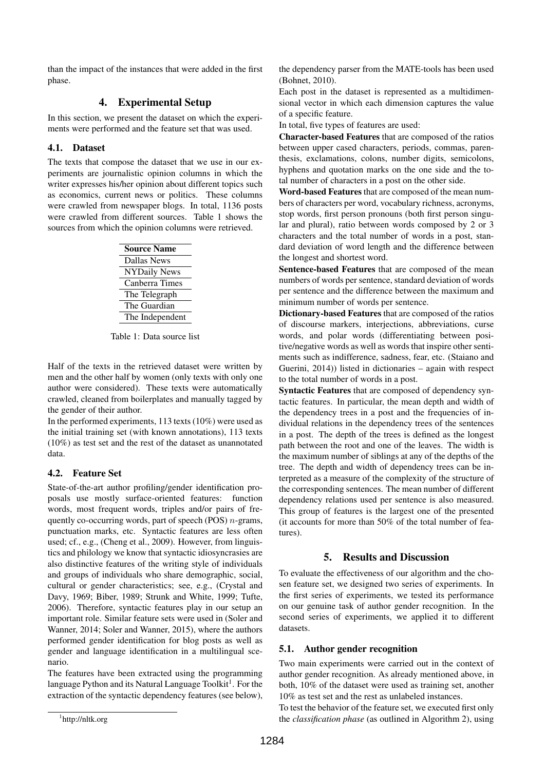than the impact of the instances that were added in the first phase.

# 4. Experimental Setup

In this section, we present the dataset on which the experiments were performed and the feature set that was used.

### 4.1. Dataset

The texts that compose the dataset that we use in our experiments are journalistic opinion columns in which the writer expresses his/her opinion about different topics such as economics, current news or politics. These columns were crawled from newspaper blogs. In total, 1136 posts were crawled from different sources. Table 1 shows the sources from which the opinion columns were retrieved.

| <b>Source Name</b>  |  |  |
|---------------------|--|--|
| <b>Dallas News</b>  |  |  |
| <b>NYDaily News</b> |  |  |
| Canberra Times      |  |  |
| The Telegraph       |  |  |
| The Guardian        |  |  |
| The Independent     |  |  |

Table 1: Data source list

Half of the texts in the retrieved dataset were written by men and the other half by women (only texts with only one author were considered). These texts were automatically crawled, cleaned from boilerplates and manually tagged by the gender of their author.

In the performed experiments, 113 texts (10%) were used as the initial training set (with known annotations), 113 texts (10%) as test set and the rest of the dataset as unannotated data.

# 4.2. Feature Set

State-of-the-art author profiling/gender identification proposals use mostly surface-oriented features: function words, most frequent words, triples and/or pairs of frequently co-occurring words, part of speech (POS)  $n$ -grams, punctuation marks, etc. Syntactic features are less often used; cf., e.g., (Cheng et al., 2009). However, from linguistics and philology we know that syntactic idiosyncrasies are also distinctive features of the writing style of individuals and groups of individuals who share demographic, social, cultural or gender characteristics; see, e.g., (Crystal and Davy, 1969; Biber, 1989; Strunk and White, 1999; Tufte, 2006). Therefore, syntactic features play in our setup an important role. Similar feature sets were used in (Soler and Wanner, 2014; Soler and Wanner, 2015), where the authors performed gender identification for blog posts as well as gender and language identification in a multilingual scenario.

The features have been extracted using the programming language Python and its Natural Language Toolkit<sup>1</sup>. For the extraction of the syntactic dependency features (see below),

the dependency parser from the MATE-tools has been used (Bohnet, 2010).

Each post in the dataset is represented as a multidimensional vector in which each dimension captures the value of a specific feature.

In total, five types of features are used:

Character-based Features that are composed of the ratios between upper cased characters, periods, commas, parenthesis, exclamations, colons, number digits, semicolons, hyphens and quotation marks on the one side and the total number of characters in a post on the other side.

Word-based Features that are composed of the mean numbers of characters per word, vocabulary richness, acronyms, stop words, first person pronouns (both first person singular and plural), ratio between words composed by 2 or 3 characters and the total number of words in a post, standard deviation of word length and the difference between the longest and shortest word.

Sentence-based Features that are composed of the mean numbers of words per sentence, standard deviation of words per sentence and the difference between the maximum and minimum number of words per sentence.

Dictionary-based Features that are composed of the ratios of discourse markers, interjections, abbreviations, curse words, and polar words (differentiating between positive/negative words as well as words that inspire other sentiments such as indifference, sadness, fear, etc. (Staiano and Guerini, 2014)) listed in dictionaries – again with respect to the total number of words in a post.

Syntactic Features that are composed of dependency syntactic features. In particular, the mean depth and width of the dependency trees in a post and the frequencies of individual relations in the dependency trees of the sentences in a post. The depth of the trees is defined as the longest path between the root and one of the leaves. The width is the maximum number of siblings at any of the depths of the tree. The depth and width of dependency trees can be interpreted as a measure of the complexity of the structure of the corresponding sentences. The mean number of different dependency relations used per sentence is also measured. This group of features is the largest one of the presented (it accounts for more than 50% of the total number of features).

# 5. Results and Discussion

To evaluate the effectiveness of our algorithm and the chosen feature set, we designed two series of experiments. In the first series of experiments, we tested its performance on our genuine task of author gender recognition. In the second series of experiments, we applied it to different datasets.

# 5.1. Author gender recognition

Two main experiments were carried out in the context of author gender recognition. As already mentioned above, in both, 10% of the dataset were used as training set, another 10% as test set and the rest as unlabeled instances.

To test the behavior of the feature set, we executed first only the *classification phase* (as outlined in Algorithm 2), using

<sup>1</sup> http://nltk.org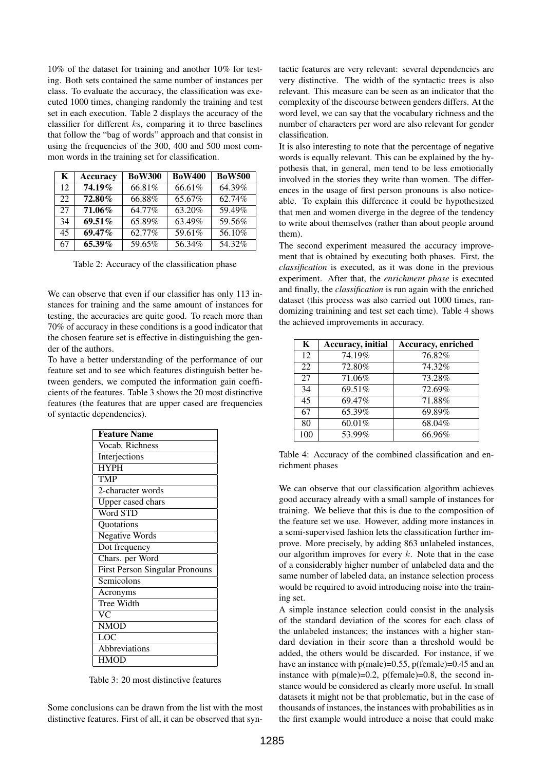10% of the dataset for training and another 10% for testing. Both sets contained the same number of instances per class. To evaluate the accuracy, the classification was executed 1000 times, changing randomly the training and test set in each execution. Table 2 displays the accuracy of the classifier for different ks, comparing it to three baselines that follow the "bag of words" approach and that consist in using the frequencies of the 300, 400 and 500 most common words in the training set for classification.

| K  | <b>Accuracy</b> | <b>BoW300</b> | <b>BoW400</b> | <b>BoW500</b> |
|----|-----------------|---------------|---------------|---------------|
| 12 | 74.19%          | 66.81%        | 66.61%        | 64.39%        |
| 22 | 72.80%          | 66.88%        | 65.67%        | 62.74%        |
| 27 | 71.06%          | 64.77%        | 63.20%        | 59.49%        |
| 34 | 69.51 $%$       | 65.89%        | 63.49%        | 59.56%        |
| 45 | $69.47\%$       | 62.77%        | 59.61%        | 56.10%        |
| 67 | 65.39%          | 59.65%        | 56.34%        | 54.32%        |

Table 2: Accuracy of the classification phase

We can observe that even if our classifier has only 113 instances for training and the same amount of instances for testing, the accuracies are quite good. To reach more than 70% of accuracy in these conditions is a good indicator that the chosen feature set is effective in distinguishing the gender of the authors.

To have a better understanding of the performance of our feature set and to see which features distinguish better between genders, we computed the information gain coefficients of the features. Table 3 shows the 20 most distinctive features (the features that are upper cased are frequencies of syntactic dependencies).

| <b>Feature Name</b>                   |
|---------------------------------------|
| Vocab. Richness                       |
| Interjections                         |
| <b>HYPH</b>                           |
| <b>TMP</b>                            |
| 2-character words                     |
| Upper cased chars                     |
| Word STD                              |
| Quotations                            |
| <b>Negative Words</b>                 |
| Dot frequency                         |
| Chars. per Word                       |
| <b>First Person Singular Pronouns</b> |
| Semicolons                            |
| Acronyms                              |
| Tree Width                            |
| VС                                    |
| <b>NMOD</b>                           |
| $\overline{\text{LOC}}$               |
| Abbreviations                         |
| <b>HMOD</b>                           |

Table 3: 20 most distinctive features

Some conclusions can be drawn from the list with the most distinctive features. First of all, it can be observed that syntactic features are very relevant: several dependencies are very distinctive. The width of the syntactic trees is also relevant. This measure can be seen as an indicator that the complexity of the discourse between genders differs. At the word level, we can say that the vocabulary richness and the number of characters per word are also relevant for gender classification.

It is also interesting to note that the percentage of negative words is equally relevant. This can be explained by the hypothesis that, in general, men tend to be less emotionally involved in the stories they write than women. The differences in the usage of first person pronouns is also noticeable. To explain this difference it could be hypothesized that men and women diverge in the degree of the tendency to write about themselves (rather than about people around them).

The second experiment measured the accuracy improvement that is obtained by executing both phases. First, the *classification* is executed, as it was done in the previous experiment. After that, the *enrichment phase* is executed and finally, the *classification* is run again with the enriched dataset (this process was also carried out 1000 times, randomizing trainining and test set each time). Table 4 shows the achieved improvements in accuracy.

| K   | Accuracy, initial | <b>Accuracy, enriched</b> |
|-----|-------------------|---------------------------|
| 12  | 74.19%            | 76.82%                    |
| 22  | 72.80%            | 74.32%                    |
| 27  | 71.06%            | 73.28%                    |
| 34  | 69.51%            | 72.69%                    |
| 45  | 69.47%            | 71.88%                    |
| 67  | 65.39%            | 69.89%                    |
| 80  | 60.01%            | 68.04%                    |
| 100 | 53.99%            | 66.96%                    |

Table 4: Accuracy of the combined classification and enrichment phases

We can observe that our classification algorithm achieves good accuracy already with a small sample of instances for training. We believe that this is due to the composition of the feature set we use. However, adding more instances in a semi-supervised fashion lets the classification further improve. More precisely, by adding 863 unlabeled instances, our algorithm improves for every  $k$ . Note that in the case of a considerably higher number of unlabeled data and the same number of labeled data, an instance selection process would be required to avoid introducing noise into the training set.

A simple instance selection could consist in the analysis of the standard deviation of the scores for each class of the unlabeled instances; the instances with a higher standard deviation in their score than a threshold would be added, the others would be discarded. For instance, if we have an instance with  $p(male)=0.55$ ,  $p(female)=0.45$  and an instance with  $p(male)=0.2$ ,  $p(female)=0.8$ , the second instance would be considered as clearly more useful. In small datasets it might not be that problematic, but in the case of thousands of instances, the instances with probabilities as in the first example would introduce a noise that could make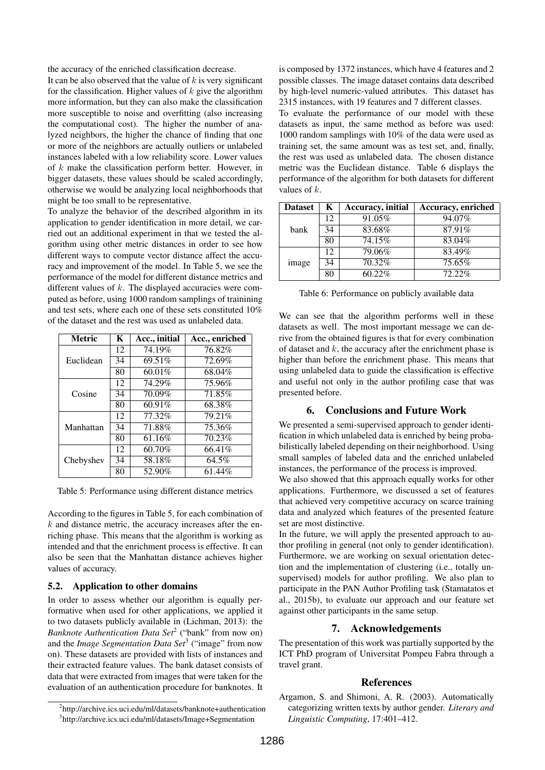the accuracy of the enriched classification decrease.

It can be also observed that the value of  $k$  is very significant for the classification. Higher values of  $k$  give the algorithm more information, but they can also make the classification more susceptible to noise and overfitting (also increasing the computational cost). The higher the number of analyzed neighbors, the higher the chance of finding that one or more of the neighbors are actually outliers or unlabeled instances labeled with a low reliability score. Lower values of  $k$  make the classification perform better. However, in bigger datasets, these values should be scaled accordingly, otherwise we would be analyzing local neighborhoods that might be too small to be representative.

To analyze the behavior of the described algorithm in its application to gender identification in more detail, we carried out an additional experiment in that we tested the algorithm using other metric distances in order to see how different ways to compute vector distance affect the accuracy and improvement of the model. In Table 5, we see the performance of the model for different distance metrics and different values of  $k$ . The displayed accuracies were computed as before, using 1000 random samplings of trainining and test sets, where each one of these sets constituted 10% of the dataset and the rest was used as unlabeled data.

| <b>Metric</b> | K  | Acc., initial | Acc., enriched |
|---------------|----|---------------|----------------|
| Euclidean     | 12 | 74.19%        | 76.82%         |
|               | 34 | 69.51%        | 72.69%         |
|               | 80 | 60.01%        | 68.04%         |
| Cosine        | 12 | 74.29%        | 75.96%         |
|               | 34 | 70.09%        | 71.85%         |
|               | 80 | 60.91%        | 68.38%         |
| Manhattan     | 12 | 77.32%        | 79.21%         |
|               | 34 | 71.88%        | 75.36%         |
|               | 80 | 61.16%        | 70.23%         |
|               | 12 | 60.70%        | 66.41%         |
| Chebyshev     | 34 | 58.18%        | 64.5%          |
|               | 80 | 52.90%        | 61.44%         |

Table 5: Performance using different distance metrics

According to the figures in Table 5, for each combination of  $k$  and distance metric, the accuracy increases after the enriching phase. This means that the algorithm is working as intended and that the enrichment process is effective. It can also be seen that the Manhattan distance achieves higher values of accuracy.

#### 5.2. Application to other domains

In order to assess whether our algorithm is equally performative when used for other applications, we applied it to two datasets publicly available in (Lichman, 2013): the *Banknote Authentication Data Set<sup>2</sup>* ("bank" from now on) and the *Image Segmentation Data Set*<sup>3</sup> ("image" from now on). These datasets are provided with lists of instances and their extracted feature values. The bank dataset consists of data that were extracted from images that were taken for the evaluation of an authentication procedure for banknotes. It is composed by 1372 instances, which have 4 features and 2 possible classes. The image dataset contains data described by high-level numeric-valued attributes. This dataset has 2315 instances, with 19 features and 7 different classes. To evaluate the performance of our model with these datasets as input, the same method as before was used: 1000 random samplings with 10% of the data were used as training set, the same amount was as test set, and, finally, the rest was used as unlabeled data. The chosen distance metric was the Euclidean distance. Table 6 displays the performance of the algorithm for both datasets for different values of  $k$ .

| <b>Dataset</b> | K  | Accuracy, initial | Accuracy, enriched |
|----------------|----|-------------------|--------------------|
| bank           | 12 | 91.05%            | 94.07%             |
|                | 34 | 83.68%            | 87.91%             |
|                | 80 | 74.15%            | 83.04%             |
| image          | 12 | 79.06%            | 83.49%             |
|                | 34 | 70.32%            | 75.65%             |
|                | 80 | 60.22%            | $72.22\%$          |

Table 6: Performance on publicly available data

We can see that the algorithm performs well in these datasets as well. The most important message we can derive from the obtained figures is that for every combination of dataset and  $k$ , the accuracy after the enrichment phase is higher than before the enrichment phase. This means that using unlabeled data to guide the classification is effective and useful not only in the author profiling case that was presented before.

### 6. Conclusions and Future Work

We presented a semi-supervised approach to gender identification in which unlabeled data is enriched by being probabilistically labeled depending on their neighborhood. Using small samples of labeled data and the enriched unlabeled instances, the performance of the process is improved.

We also showed that this approach equally works for other applications. Furthermore, we discussed a set of features that achieved very competitive accuracy on scarce training data and analyzed which features of the presented feature set are most distinctive.

In the future, we will apply the presented approach to author profiling in general (not only to gender identification). Furthermore, we are working on sexual orientation detection and the implementation of clustering (i.e., totally unsupervised) models for author profiling. We also plan to participate in the PAN Author Profiling task (Stamatatos et al., 2015b), to evaluate our approach and our feature set against other participants in the same setup.

### 7. Acknowledgements

The presentation of this work was partially supported by the ICT PhD program of Universitat Pompeu Fabra through a travel grant.

#### **References**

Argamon, S. and Shimoni, A. R. (2003). Automatically categorizing written texts by author gender. *Literary and Linguistic Computing*, 17:401–412.

<sup>&</sup>lt;sup>2</sup>http://archive.ics.uci.edu/ml/datasets/banknote+authentication

<sup>3</sup> http://archive.ics.uci.edu/ml/datasets/Image+Segmentation